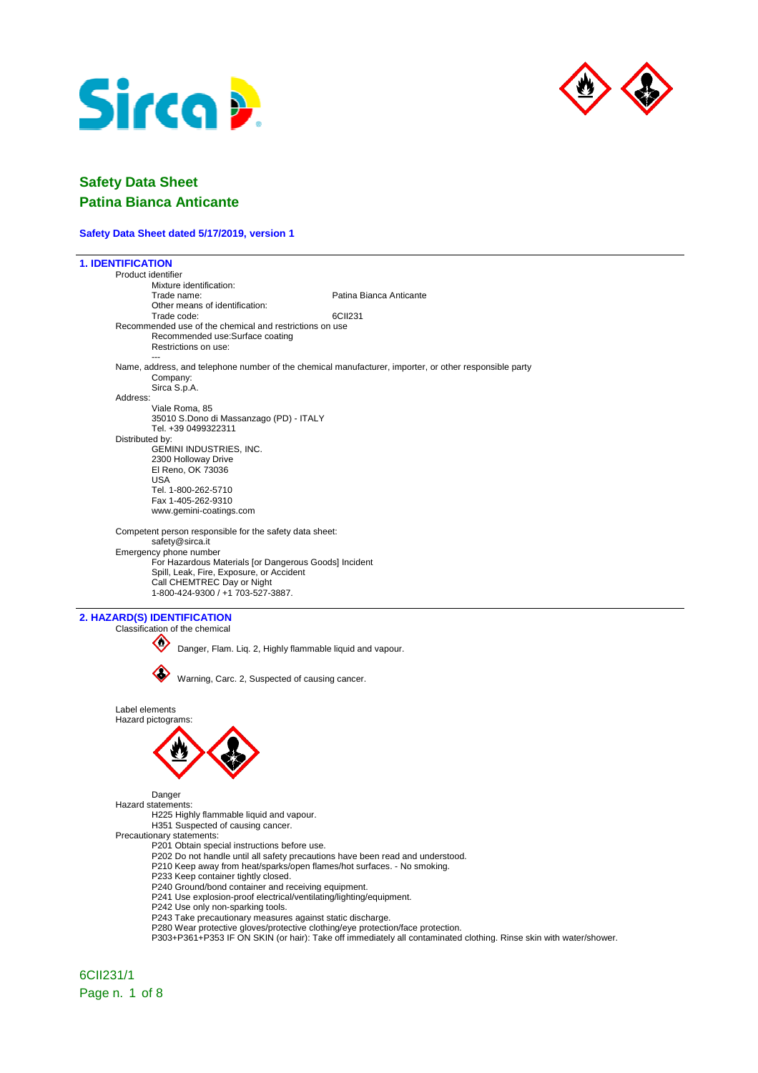



### **Safety Data Sheet dated 5/17/2019, version 1**

| <b>1. IDENTIFICATION</b>             |                                                                                                                                               |                                                                                                                    |
|--------------------------------------|-----------------------------------------------------------------------------------------------------------------------------------------------|--------------------------------------------------------------------------------------------------------------------|
| Product identifier                   |                                                                                                                                               |                                                                                                                    |
|                                      | Mixture identification:<br>Trade name:                                                                                                        | Patina Bianca Anticante                                                                                            |
|                                      | Other means of identification:<br>Trade code:                                                                                                 | 6CII231                                                                                                            |
|                                      | Recommended use of the chemical and restrictions on use                                                                                       |                                                                                                                    |
|                                      | Recommended use:Surface coating<br>Restrictions on use:                                                                                       |                                                                                                                    |
|                                      | Company:<br>Sirca S.p.A.                                                                                                                      | Name, address, and telephone number of the chemical manufacturer, importer, or other responsible party             |
| Address:                             |                                                                                                                                               |                                                                                                                    |
|                                      | Viale Roma, 85<br>35010 S.Dono di Massanzago (PD) - ITALY                                                                                     |                                                                                                                    |
| Distributed by:                      | Tel. +39 0499322311                                                                                                                           |                                                                                                                    |
|                                      | GEMINI INDUSTRIES, INC.                                                                                                                       |                                                                                                                    |
|                                      | 2300 Holloway Drive                                                                                                                           |                                                                                                                    |
| USA                                  | El Reno, OK 73036                                                                                                                             |                                                                                                                    |
|                                      | Tel. 1-800-262-5710                                                                                                                           |                                                                                                                    |
|                                      | Fax 1-405-262-9310                                                                                                                            |                                                                                                                    |
|                                      | www.gemini-coatings.com                                                                                                                       |                                                                                                                    |
|                                      | Competent person responsible for the safety data sheet:<br>safety@sirca.it                                                                    |                                                                                                                    |
|                                      | Emergency phone number                                                                                                                        |                                                                                                                    |
|                                      | For Hazardous Materials [or Dangerous Goods] Incident<br>Spill, Leak, Fire, Exposure, or Accident                                             |                                                                                                                    |
|                                      | Call CHEMTREC Day or Night                                                                                                                    |                                                                                                                    |
|                                      | 1-800-424-9300 / +1 703-527-3887.                                                                                                             |                                                                                                                    |
|                                      |                                                                                                                                               |                                                                                                                    |
| 2. HAZARD(S) IDENTIFICATION          | Classification of the chemical                                                                                                                |                                                                                                                    |
|                                      |                                                                                                                                               |                                                                                                                    |
|                                      | Danger, Flam. Liq. 2, Highly flammable liquid and vapour.                                                                                     |                                                                                                                    |
|                                      |                                                                                                                                               |                                                                                                                    |
|                                      | Warning, Carc. 2, Suspected of causing cancer.                                                                                                |                                                                                                                    |
| Label elements<br>Hazard pictograms: |                                                                                                                                               |                                                                                                                    |
|                                      |                                                                                                                                               |                                                                                                                    |
|                                      |                                                                                                                                               |                                                                                                                    |
|                                      |                                                                                                                                               |                                                                                                                    |
|                                      |                                                                                                                                               |                                                                                                                    |
|                                      |                                                                                                                                               |                                                                                                                    |
| Hazard statements:                   | Danger                                                                                                                                        |                                                                                                                    |
|                                      | H225 Highly flammable liquid and vapour.                                                                                                      |                                                                                                                    |
|                                      | H351 Suspected of causing cancer.                                                                                                             |                                                                                                                    |
|                                      | Precautionary statements:<br>P201 Obtain special instructions before use.                                                                     |                                                                                                                    |
|                                      | P202 Do not handle until all safety precautions have been read and understood.                                                                |                                                                                                                    |
|                                      | P210 Keep away from heat/sparks/open flames/hot surfaces. - No smoking.                                                                       |                                                                                                                    |
|                                      | P233 Keep container tightly closed.<br>P240 Ground/bond container and receiving equipment.                                                    |                                                                                                                    |
|                                      | P241 Use explosion-proof electrical/ventilating/lighting/equipment.                                                                           |                                                                                                                    |
|                                      | P242 Use only non-sparking tools.                                                                                                             |                                                                                                                    |
|                                      | P243 Take precautionary measures against static discharge.<br>P280 Wear protective gloves/protective clothing/eye protection/face protection. |                                                                                                                    |
|                                      |                                                                                                                                               | P303+P361+P353 IF ON SKIN (or hair): Take off immediately all contaminated clothing. Rinse skin with water/shower. |
|                                      |                                                                                                                                               |                                                                                                                    |
|                                      |                                                                                                                                               |                                                                                                                    |
| 6CII231/1                            |                                                                                                                                               |                                                                                                                    |

Page n. 1 of 8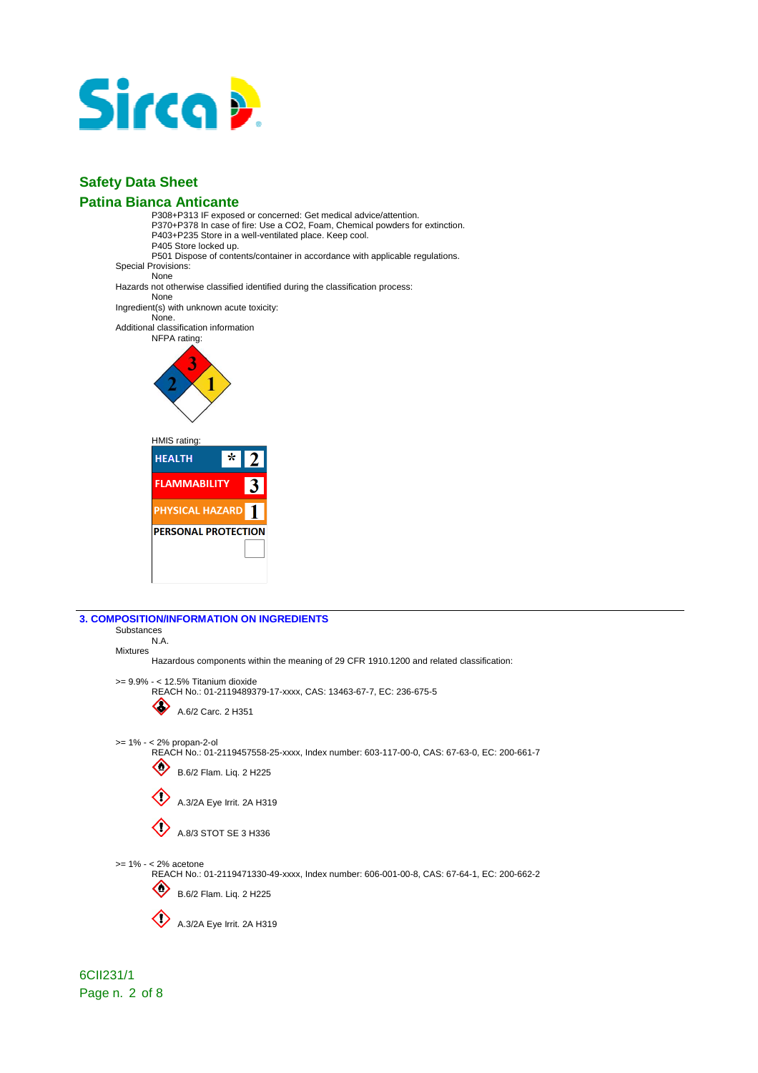

P308+P313 IF exposed or concerned: Get medical advice/attention. P370+P378 In case of fire: Use a CO2, Foam, Chemical powders for extinction. P403+P235 Store in a well-ventilated place. Keep cool. P405 Store locked up. P501 Dispose of contents/container in accordance with applicable regulations. Special Provisions: None Hazards not otherwise classified identified during the classification process: None Ingredient(s) with unknown acute toxicity: None. Additional classification information NFPA rating: 1 HMIS rating: **HEALTH**  $\overline{\mathbf{r}}$ າ **FLAMMABILITY**  $\overline{3}$ PHYSICAL HAZARD<sup>1</sup> **PERSONAL PROTECTION** 

| <b>3. COMPOSITION/INFORMATION ON INGREDIENTS</b>                                                                          |
|---------------------------------------------------------------------------------------------------------------------------|
| Substances                                                                                                                |
| N.A.                                                                                                                      |
| <b>Mixtures</b><br>Hazardous components within the meaning of 29 CFR 1910.1200 and related classification:                |
|                                                                                                                           |
| $>= 9.9\% - < 12.5\%$ Titanium dioxide                                                                                    |
| REACH No.: 01-2119489379-17-xxxx, CAS: 13463-67-7, EC: 236-675-5                                                          |
| A.6/2 Carc. 2 H351                                                                                                        |
|                                                                                                                           |
|                                                                                                                           |
| $>= 1\% - < 2\%$ propan-2-ol<br>REACH No.: 01-2119457558-25-xxxx, Index number: 603-117-00-0, CAS: 67-63-0, EC: 200-661-7 |
|                                                                                                                           |
| B.6/2 Flam. Liq. 2 H225                                                                                                   |
|                                                                                                                           |
| A.3/2A Eye Irrit. 2A H319                                                                                                 |
|                                                                                                                           |
| A.8/3 STOT SE 3 H336                                                                                                      |
|                                                                                                                           |
|                                                                                                                           |
| $>= 1\% - < 2\%$ acetone                                                                                                  |
| REACH No.: 01-2119471330-49-xxxx, Index number: 606-001-00-8, CAS: 67-64-1, EC: 200-662-2                                 |
| B.6/2 Flam. Liq. 2 H225                                                                                                   |
|                                                                                                                           |
| A.3/2A Eye Irrit. 2A H319                                                                                                 |
|                                                                                                                           |
|                                                                                                                           |

6CII231/1 Page n. 2 of 8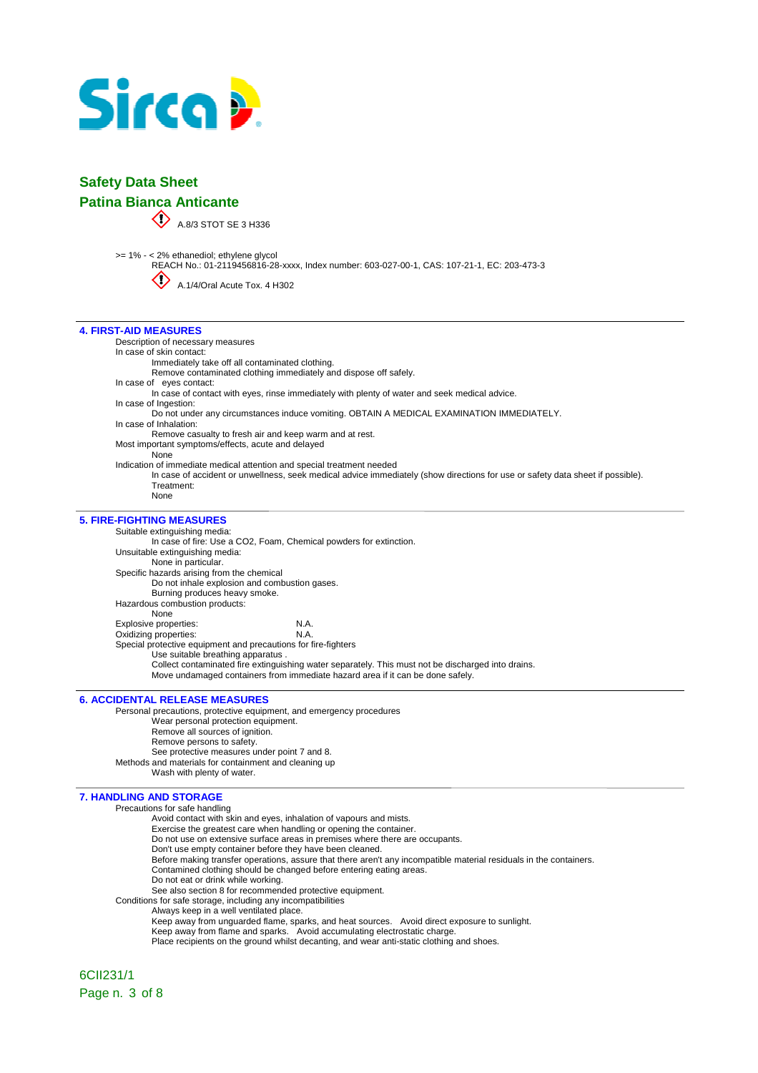

|                                  | <b>Safety Data Sheet</b>                                                                                                                                                                                               |  |  |
|----------------------------------|------------------------------------------------------------------------------------------------------------------------------------------------------------------------------------------------------------------------|--|--|
| <b>Patina Bianca Anticante</b>   |                                                                                                                                                                                                                        |  |  |
|                                  | A.8/3 STOT SE 3 H336                                                                                                                                                                                                   |  |  |
|                                  | >= 1% - < 2% ethanediol; ethylene glycol<br>REACH No.: 01-2119456816-28-xxxx, Index number: 603-027-00-1, CAS: 107-21-1, EC: 203-473-3<br>A.1/4/Oral Acute Tox. 4 H302                                                 |  |  |
| <b>4. FIRST-AID MEASURES</b>     |                                                                                                                                                                                                                        |  |  |
|                                  | Description of necessary measures                                                                                                                                                                                      |  |  |
| In case of skin contact:         |                                                                                                                                                                                                                        |  |  |
|                                  | Immediately take off all contaminated clothing.                                                                                                                                                                        |  |  |
|                                  | Remove contaminated clothing immediately and dispose off safely.                                                                                                                                                       |  |  |
| In case of eyes contact:         | In case of contact with eyes, rinse immediately with plenty of water and seek medical advice.                                                                                                                          |  |  |
| In case of Ingestion:            |                                                                                                                                                                                                                        |  |  |
|                                  | Do not under any circumstances induce vomiting. OBTAIN A MEDICAL EXAMINATION IMMEDIATELY.                                                                                                                              |  |  |
| In case of Inhalation:           |                                                                                                                                                                                                                        |  |  |
|                                  | Remove casualty to fresh air and keep warm and at rest.                                                                                                                                                                |  |  |
|                                  | Most important symptoms/effects, acute and delayed                                                                                                                                                                     |  |  |
| None                             |                                                                                                                                                                                                                        |  |  |
|                                  | Indication of immediate medical attention and special treatment needed<br>In case of accident or unwellness, seek medical advice immediately (show directions for use or safety data sheet if possible).<br>Treatment: |  |  |
| None                             |                                                                                                                                                                                                                        |  |  |
| <b>5. FIRE-FIGHTING MEASURES</b> |                                                                                                                                                                                                                        |  |  |
|                                  | Suitable extinguishing media:                                                                                                                                                                                          |  |  |
|                                  | In case of fire: Use a CO2, Foam, Chemical powders for extinction.                                                                                                                                                     |  |  |
|                                  | Unsuitable extinguishing media:                                                                                                                                                                                        |  |  |
|                                  | None in particular.<br>Specific hazards arising from the chemical                                                                                                                                                      |  |  |
|                                  | Do not inhale explosion and combustion gases.                                                                                                                                                                          |  |  |
|                                  | Burning produces heavy smoke.                                                                                                                                                                                          |  |  |
|                                  | Hazardous combustion products:                                                                                                                                                                                         |  |  |
| None                             |                                                                                                                                                                                                                        |  |  |
| Explosive properties:            | N.A.                                                                                                                                                                                                                   |  |  |
| Oxidizing properties:            | N.A.                                                                                                                                                                                                                   |  |  |
|                                  | Special protective equipment and precautions for fire-fighters                                                                                                                                                         |  |  |
|                                  | Use suitable breathing apparatus.                                                                                                                                                                                      |  |  |
|                                  | Collect contaminated fire extinguishing water separately. This must not be discharged into drains.                                                                                                                     |  |  |
|                                  | Move undamaged containers from immediate hazard area if it can be done safely.                                                                                                                                         |  |  |
|                                  |                                                                                                                                                                                                                        |  |  |
|                                  | <b>6. ACCIDENTAL RELEASE MEASURES</b>                                                                                                                                                                                  |  |  |
|                                  | Personal precautions, protective equipment, and emergency procedures                                                                                                                                                   |  |  |

Wear personal protection equipment. Remove all sources of ignition. Remove persons to safety. See protective measures under point 7 and 8. Methods and materials for containment and cleaning up Wash with plenty of water.

#### **7. HANDLING AND STORAGE**

Precautions for safe handling

- Avoid contact with skin and eyes, inhalation of vapours and mists.
- Exercise the greatest care when handling or opening the container.
- Do not use on extensive surface areas in premises where there are occupants.
- Don't use empty container before they have been cleaned.
- Before making transfer operations, assure that there aren't any incompatible material residuals in the containers.
- Contamined clothing should be changed before entering eating areas.
- Do not eat or drink while working.
- See also section 8 for recommended protective equipment.
- Conditions for safe storage, including any incompatibilities
	- Always keep in a well ventilated place.
		- Keep away from unguarded flame, sparks, and heat sources. Avoid direct exposure to sunlight.
		- Keep away from flame and sparks. Avoid accumulating electrostatic charge.
		- Place recipients on the ground whilst decanting, and wear anti-static clothing and shoes.

6CII231/1 Page n. 3 of 8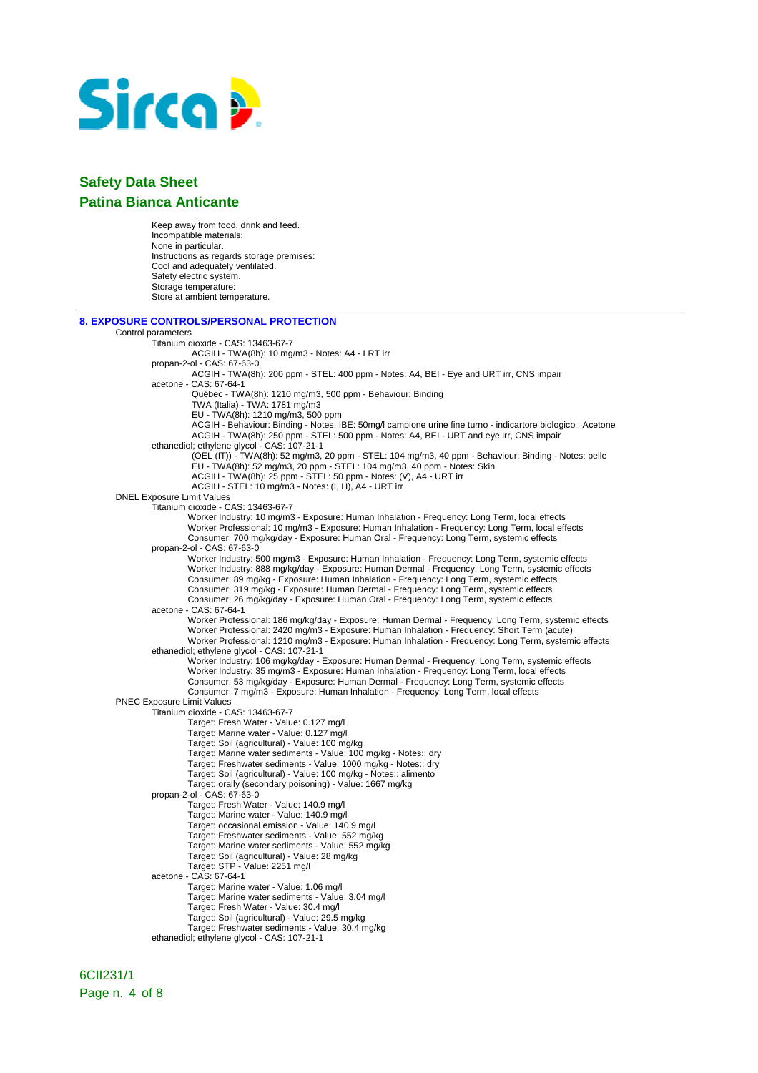

Keep away from food, drink and feed. Incompatible materials: None in particular. Instructions as regards storage premises: Cool and adequately ventilated. Safety electric system. Storage temperature: Store at ambient temperature.

| <b>8. EXPOSURE CONTROLS/PERSONAL PROTECTION</b>                                                                                                                                                      |  |
|------------------------------------------------------------------------------------------------------------------------------------------------------------------------------------------------------|--|
| Control parameters                                                                                                                                                                                   |  |
| Titanium dioxide - CAS: 13463-67-7                                                                                                                                                                   |  |
| ACGIH - TWA(8h): 10 mg/m3 - Notes: A4 - LRT irr                                                                                                                                                      |  |
| propan-2-ol - CAS: 67-63-0                                                                                                                                                                           |  |
| ACGIH - TWA(8h): 200 ppm - STEL: 400 ppm - Notes: A4, BEI - Eye and URT irr, CNS impair                                                                                                              |  |
| acetone - CAS: 67-64-1                                                                                                                                                                               |  |
| Québec - TWA(8h): 1210 mg/m3, 500 ppm - Behaviour: Binding<br>TWA (Italia) - TWA: 1781 mg/m3                                                                                                         |  |
| EU - TWA(8h): 1210 mg/m3, 500 ppm                                                                                                                                                                    |  |
| ACGIH - Behaviour: Binding - Notes: IBE: 50mg/l campione urine fine turno - indicartore biologico : Acetone                                                                                          |  |
| ACGIH - TWA(8h): 250 ppm - STEL: 500 ppm - Notes: A4, BEI - URT and eye irr, CNS impair                                                                                                              |  |
| ethanediol; ethylene glycol - CAS: 107-21-1                                                                                                                                                          |  |
| (OEL (IT)) - TWA(8h): 52 mg/m3, 20 ppm - STEL: 104 mg/m3, 40 ppm - Behaviour: Binding - Notes: pelle                                                                                                 |  |
| EU - TWA(8h): 52 mg/m3, 20 ppm - STEL: 104 mg/m3, 40 ppm - Notes: Skin                                                                                                                               |  |
| ACGIH - TWA(8h): 25 ppm - STEL: 50 ppm - Notes: (V), A4 - URT irr                                                                                                                                    |  |
| ACGIH - STEL: 10 mg/m3 - Notes: (I, H), A4 - URT irr                                                                                                                                                 |  |
| <b>DNEL Exposure Limit Values</b>                                                                                                                                                                    |  |
| Titanium dioxide - CAS: 13463-67-7                                                                                                                                                                   |  |
| Worker Industry: 10 mg/m3 - Exposure: Human Inhalation - Frequency: Long Term, local effects                                                                                                         |  |
| Worker Professional: 10 mg/m3 - Exposure: Human Inhalation - Frequency: Long Term, local effects                                                                                                     |  |
| Consumer: 700 mg/kg/day - Exposure: Human Oral - Frequency: Long Term, systemic effects                                                                                                              |  |
| propan-2-ol - CAS: 67-63-0                                                                                                                                                                           |  |
| Worker Industry: 500 mg/m3 - Exposure: Human Inhalation - Frequency: Long Term, systemic effects<br>Worker Industry: 888 mg/kg/day - Exposure: Human Dermal - Frequency: Long Term, systemic effects |  |
| Consumer: 89 mg/kg - Exposure: Human Inhalation - Frequency: Long Term, systemic effects                                                                                                             |  |
| Consumer: 319 mg/kg - Exposure: Human Dermal - Frequency: Long Term, systemic effects                                                                                                                |  |
| Consumer: 26 mg/kg/day - Exposure: Human Oral - Frequency: Long Term, systemic effects                                                                                                               |  |
| acetone - CAS: 67-64-1                                                                                                                                                                               |  |
| Worker Professional: 186 mg/kg/day - Exposure: Human Dermal - Frequency: Long Term, systemic effects                                                                                                 |  |
| Worker Professional: 2420 mg/m3 - Exposure: Human Inhalation - Frequency: Short Term (acute)                                                                                                         |  |
| Worker Professional: 1210 mg/m3 - Exposure: Human Inhalation - Frequency: Long Term, systemic effects                                                                                                |  |
| ethanediol; ethylene glycol - CAS: 107-21-1                                                                                                                                                          |  |
| Worker Industry: 106 mg/kg/day - Exposure: Human Dermal - Frequency: Long Term, systemic effects                                                                                                     |  |
| Worker Industry: 35 mg/m3 - Exposure: Human Inhalation - Frequency: Long Term, local effects                                                                                                         |  |
| Consumer: 53 mg/kg/day - Exposure: Human Dermal - Frequency: Long Term, systemic effects                                                                                                             |  |
| Consumer: 7 mg/m3 - Exposure: Human Inhalation - Frequency: Long Term, local effects<br><b>PNEC Exposure Limit Values</b>                                                                            |  |
| Titanium dioxide - CAS: 13463-67-7                                                                                                                                                                   |  |
| Target: Fresh Water - Value: 0.127 mg/l                                                                                                                                                              |  |
| Target: Marine water - Value: 0.127 mg/l                                                                                                                                                             |  |
| Target: Soil (agricultural) - Value: 100 mg/kg                                                                                                                                                       |  |
| Target: Marine water sediments - Value: 100 mg/kg - Notes:: dry                                                                                                                                      |  |
| Target: Freshwater sediments - Value: 1000 mg/kg - Notes:: dry                                                                                                                                       |  |
| Target: Soil (agricultural) - Value: 100 mg/kg - Notes:: alimento                                                                                                                                    |  |
| Target: orally (secondary poisoning) - Value: 1667 mg/kg                                                                                                                                             |  |
| propan-2-ol - CAS: 67-63-0                                                                                                                                                                           |  |
| Target: Fresh Water - Value: 140.9 mg/l                                                                                                                                                              |  |
| Target: Marine water - Value: 140.9 mg/l                                                                                                                                                             |  |
| Target: occasional emission - Value: 140.9 mg/l<br>Target: Freshwater sediments - Value: 552 mg/kg                                                                                                   |  |
| Target: Marine water sediments - Value: 552 mg/kg                                                                                                                                                    |  |
| Target: Soil (agricultural) - Value: 28 mg/kg                                                                                                                                                        |  |
| Target: STP - Value: 2251 mg/l                                                                                                                                                                       |  |
| acetone - CAS: 67-64-1                                                                                                                                                                               |  |
| Target: Marine water - Value: 1.06 mg/l                                                                                                                                                              |  |
| Target: Marine water sediments - Value: 3.04 mg/l                                                                                                                                                    |  |
| Target: Fresh Water - Value: 30.4 mg/l                                                                                                                                                               |  |
| Target: Soil (agricultural) - Value: 29.5 mg/kg                                                                                                                                                      |  |
| Target: Freshwater sediments - Value: 30.4 mg/kg                                                                                                                                                     |  |
| ethanediol; ethylene glycol - CAS: 107-21-1                                                                                                                                                          |  |
|                                                                                                                                                                                                      |  |

6CII231/1 Page n. 4 of 8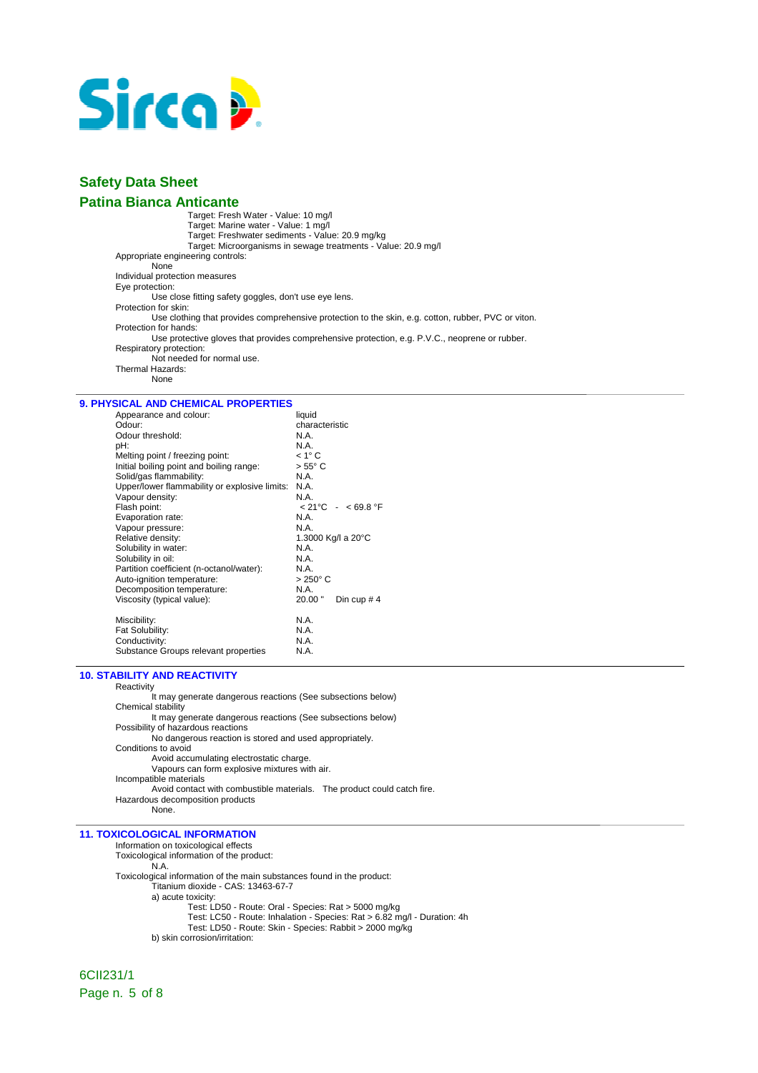

Target: Fresh Water - Value: 10 mg/l Target: Marine water - Value: 1 mg/l Target: Freshwater sediments - Value: 20.9 mg/kg Target: Microorganisms in sewage treatments - Value: 20.9 mg/l Appropriate engineering controls: None Individual protection measures Eye protection: Use close fitting safety goggles, don't use eye lens. Protection for skin: Use clothing that provides comprehensive protection to the skin, e.g. cotton, rubber, PVC or viton. Protection for hands: Use protective gloves that provides comprehensive protection, e.g. P.V.C., neoprene or rubber. Respiratory protection: Not needed for normal use. Thermal Hazards: None

### **9. PHYSICAL AND CHEMICAL PROPERTIES**

| characteristic                        |
|---------------------------------------|
|                                       |
| N.A.                                  |
| N.A.                                  |
| $< 1^{\circ}$ C                       |
| $> 55^{\circ}$ C                      |
| N.A.                                  |
| N.A.                                  |
| N.A.                                  |
| $< 21^{\circ}$ C - $< 69.8^{\circ}$ F |
| N.A.                                  |
| N.A.                                  |
| 1.3000 Kg/l a 20°C                    |
| N.A.                                  |
| N.A.                                  |
| N.A.                                  |
| $>250^{\circ}$ C                      |
| N.A.                                  |
| 20.00"<br>Din cup $# 4$               |
| N.A.                                  |
| N.A.                                  |
| N.A.                                  |
| N.A.                                  |
|                                       |

#### **10. STABILITY AND REACTIVITY**

Reactivity It may generate dangerous reactions (See subsections below) Chemical stability It may generate dangerous reactions (See subsections below) Possibility of hazardous reactions No dangerous reaction is stored and used appropriately. Conditions to avoid Avoid accumulating electrostatic charge. Vapours can form explosive mixtures with air. Incompatible materials Avoid contact with combustible materials. The product could catch fire. Hazardous decomposition products None.

#### **11. TOXICOLOGICAL INFORMATION**

Information on toxicological effects Toxicological information of the product: N.A. Toxicological information of the main substances found in the product: Titanium dioxide - CAS: 13463-67-7 a) acute toxicity: Test: LD50 - Route: Oral - Species: Rat > 5000 mg/kg Test: LC50 - Route: Inhalation - Species: Rat > 6.82 mg/l - Duration: 4h Test: LD50 - Route: Skin - Species: Rabbit > 2000 mg/kg b) skin corrosion/irritation:

6CII231/1 Page n. 5 of 8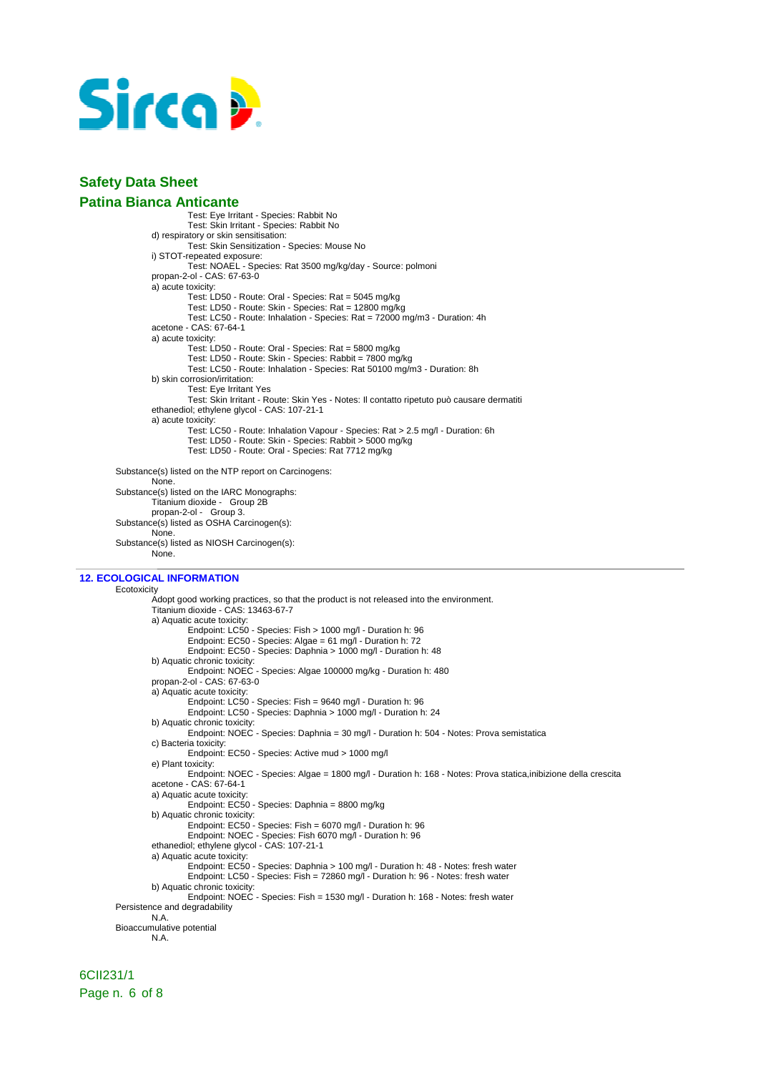

Test: Eye Irritant - Species: Rabbit No Test: Skin Irritant - Species: Rabbit No d) respiratory or skin sensitisation: Test: Skin Sensitization - Species: Mouse No i) STOT-repeated exposure: Test: NOAEL - Species: Rat 3500 mg/kg/day - Source: polmoni propan-2-ol - CAS: 67-63-0 a) acute toxicity: Test: LD50 - Route: Oral - Species: Rat = 5045 mg/kg Test: LD50 - Route: Skin - Species: Rat = 12800 mg/kg Test: LC50 - Route: Inhalation - Species: Rat = 72000 mg/m3 - Duration: 4h acetone - CAS: 67-64-1 a) acute toxicity: Test: LD50 - Route: Oral - Species: Rat = 5800 mg/kg Test: LD50 - Route: Skin - Species: Rabbit = 7800 mg/kg Test: LC50 - Route: Inhalation - Species: Rat 50100 mg/m3 - Duration: 8h b) skin corrosion/irritation: Test: Eye Irritant Yes Test: Skin Irritant - Route: Skin Yes - Notes: Il contatto ripetuto può causare dermatiti ethanediol; ethylene glycol - CAS: 107-21-1 a) acute toxicity: Test: LC50 - Route: Inhalation Vapour - Species: Rat > 2.5 mg/l - Duration: 6h Test: LD50 - Route: Skin - Species: Rabbit > 5000 mg/kg Test: LD50 - Route: Oral - Species: Rat 7712 mg/kg Substance(s) listed on the NTP report on Carcinogens: None. Substance(s) listed on the IARC Monographs: Titanium dioxide - Group 2B propan-2-ol - Group 3.

Substance(s) listed as OSHA Carcinogen(s): None. Substance(s) listed as NIOSH Carcinogen(s): None.

### **12. ECOLOGICAL INFORMATION**

Ecotoxicity Adopt good working practices, so that the product is not released into the environment. Titanium dioxide - CAS: 13463-67-7 a) Aquatic acute toxicity: Endpoint: LC50 - Species: Fish > 1000 mg/l - Duration h: 96 Endpoint: EC50 - Species: Algae = 61 mg/l - Duration h: 72 Endpoint: EC50 - Species: Daphnia > 1000 mg/l - Duration h: 48 b) Aquatic chronic toxicity: Endpoint: NOEC - Species: Algae 100000 mg/kg - Duration h: 480 propan-2-ol - CAS: 67-63-0 a) Aquatic acute toxicity: Endpoint: LC50 - Species: Fish = 9640 mg/l - Duration h: 96 Endpoint: LC50 - Species: Daphnia > 1000 mg/l - Duration h: 24 b) Aquatic chronic toxicity: Endpoint: NOEC - Species: Daphnia = 30 mg/l - Duration h: 504 - Notes: Prova semistatica c) Bacteria toxicity: Endpoint: EC50 - Species: Active mud > 1000 mg/l e) Plant toxicity: Endpoint: NOEC - Species: Algae = 1800 mg/l - Duration h: 168 - Notes: Prova statica,inibizione della crescita acetone - CAS: 67-64-1 a) Aquatic acute toxicity: Endpoint: EC50 - Species: Daphnia = 8800 mg/kg b) Aquatic chronic toxicity: Endpoint: EC50 - Species: Fish = 6070 mg/l - Duration h: 96 Endpoint: NOEC - Species: Fish 6070 mg/l - Duration h: 96 ethanediol; ethylene glycol - CAS: 107-21-1 a) Aquatic acute toxicity: Endpoint: EC50 - Species: Daphnia > 100 mg/l - Duration h: 48 - Notes: fresh water Endpoint: LC50 - Species: Fish = 72860 mg/l - Duration h: 96 - Notes: fresh water b) Aquatic chronic toxicity: Endpoint: NOEC - Species: Fish = 1530 mg/l - Duration h: 168 - Notes: fresh water Persistence and degradability N.A. Bioaccumulative potential N.A.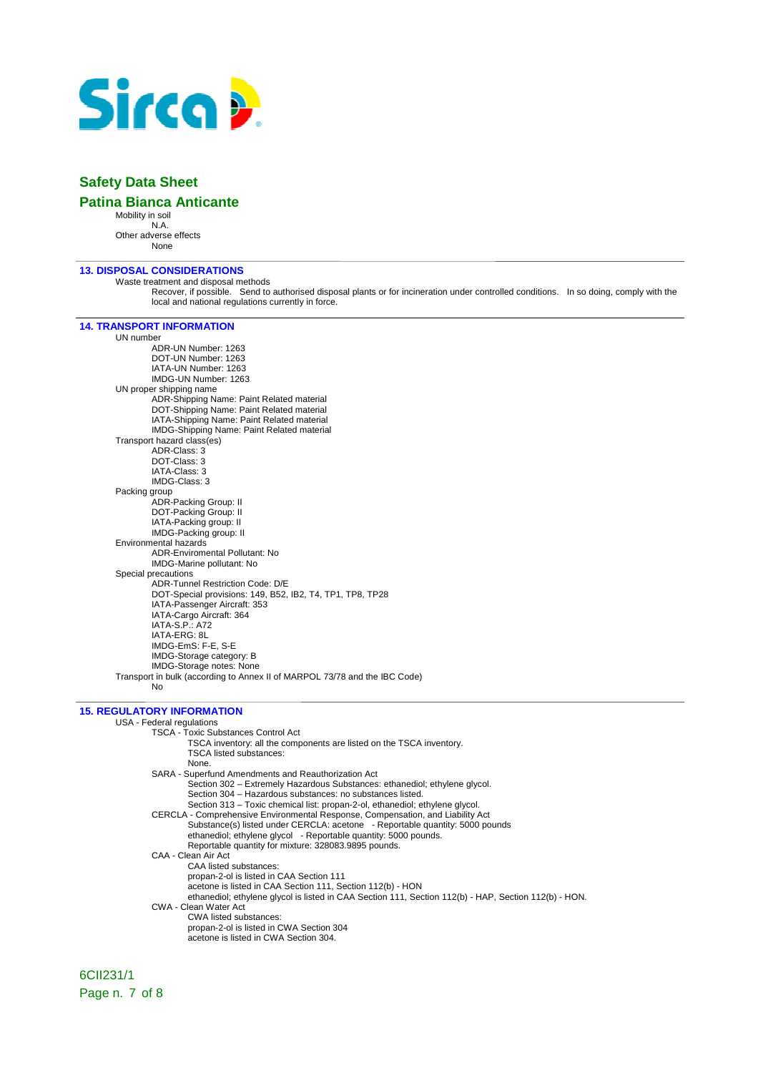

### **Safety Data Sheet**

#### **Patina Bianca Anticante**

Mobility in soil N.A. Other adverse effects None

**13. DISPOSAL CONSIDERATIONS** 

Waste treatment and disposal methods

Recover, if possible. Send to authorised disposal plants or for incineration under controlled conditions. In so doing, comply with the local and national regulations currently in force.

#### **14. TRANSPORT INFORMATION**

UN number ADR-UN Number: 1263 DOT-UN Number: 1263 IATA-UN Number: 1263 IMDG-UN Number: 1263 UN proper shipping name ADR-Shipping Name: Paint Related material DOT-Shipping Name: Paint Related material IATA-Shipping Name: Paint Related material IMDG-Shipping Name: Paint Related material Transport hazard class(es) ADR-Class: 3 DOT-Class: 3 IATA-Class: 3 IMDG-Class: 3 Packing group ADR-Packing Group: II DOT-Packing Group: II IATA-Packing group: II IMDG-Packing group: II Environmental hazards ADR-Enviromental Pollutant: No IMDG-Marine pollutant: No Special precautions ADR-Tunnel Restriction Code: D/E DOT-Special provisions: 149, B52, IB2, T4, TP1, TP8, TP28 IATA-Passenger Aircraft: 353 IATA-Cargo Aircraft: 364 IATA-S.P.: A72 IATA-ERG: 8L IMDG-EmS: F-E, S-E IMDG-Storage category: B IMDG-Storage notes: None Transport in bulk (according to Annex II of MARPOL 73/78 and the IBC Code) No

#### **15. REGULATORY INFORMATION**

USA - Federal regulations TSCA - Toxic Substances Control Act TSCA inventory: all the components are listed on the TSCA inventory. TSCA listed substances: None. SARA - Superfund Amendments and Reauthorization Act Section 302 – Extremely Hazardous Substances: ethanediol; ethylene glycol. Section 304 – Hazardous substances: no substances listed. Section 313 – Toxic chemical list: propan-2-ol, ethanediol; ethylene glycol. CERCLA - Comprehensive Environmental Response, Compensation, and Liability Act Substance(s) listed under CERCLA: acetone - Reportable quantity: 5000 pounds ethanediol; ethylene glycol - Reportable quantity: 5000 pounds. Reportable quantity for mixture: 328083.9895 pounds. CAA - Clean Air Act CAA listed substances: propan-2-ol is listed in CAA Section 111 acetone is listed in CAA Section 111, Section 112(b) - HON ethanediol; ethylene glycol is listed in CAA Section 111, Section 112(b) - HAP, Section 112(b) - HON. CWA - Clean Water Act CWA listed substances: propan-2-ol is listed in CWA Section 304 acetone is listed in CWA Section 304.

## 6CII231/1 Page n. 7 of 8